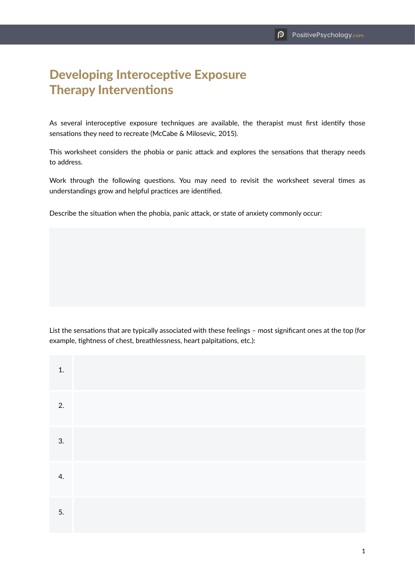## Developing Interoceptive Exposure Therapy Interventions

As several interoceptive exposure techniques are available, the therapist must first identify those sensations they need to recreate (McCabe & Milosevic, 2015).

This worksheet considers the phobia or panic attack and explores the sensations that therapy needs to address.

Work through the following questions. You may need to revisit the worksheet several times as understandings grow and helpful practices are identified.

Describe the situation when the phobia, panic attack, or state of anxiety commonly occur:

List the sensations that are typically associated with these feelings – most significant ones at the top (for example, tightness of chest, breathlessness, heart palpitations, etc.):

| 1. |  |
|----|--|
| 2. |  |
| 3. |  |
| 4. |  |
| 5. |  |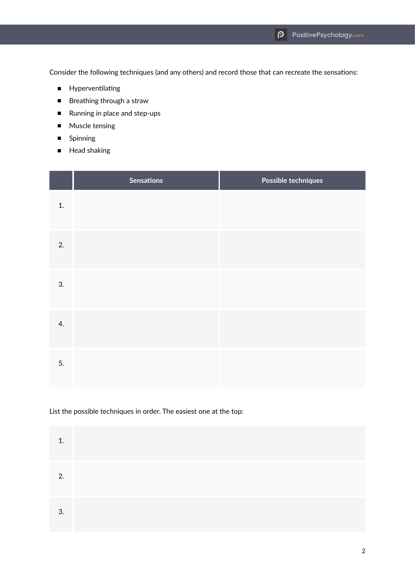Consider the following techniques (and any others) and record those that can recreate the sensations:

- Hyperventilating
- Breathing through a straw
- Running in place and step-ups
- Muscle tensing
- Spinning
- Head shaking

|    | <b>Sensations</b> | Possible techniques |
|----|-------------------|---------------------|
| 1. |                   |                     |
| 2. |                   |                     |
| 3. |                   |                     |
| 4. |                   |                     |
| 5. |                   |                     |

## List the possible techniques in order. The easiest one at the top:

| 1  |  |  |  |
|----|--|--|--|
| 2. |  |  |  |
| 3. |  |  |  |